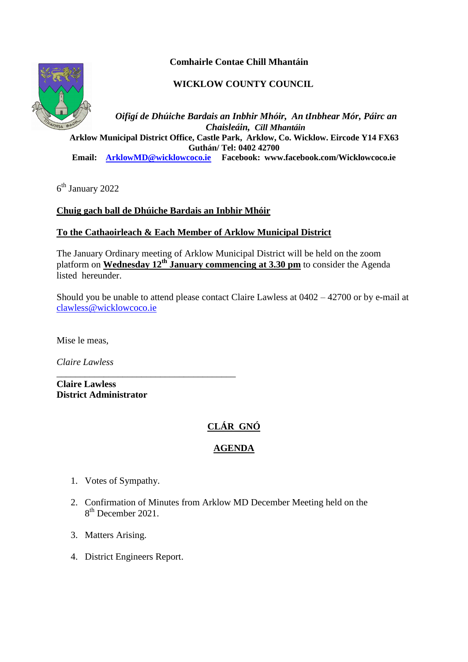**Comhairle Contae Chill Mhantáin**

# **WICKLOW COUNTY COUNCIL**



*Oifigí de Dhúiche Bardais an Inbhir Mhóir, An tInbhear Mór, Páirc an Chaisleáin, Cill Mhantáin*  **Arklow Municipal District Office, Castle Park, Arklow, Co. Wicklow. Eircode Y14 FX63 Guthán/ Tel: 0402 42700 Email: [ArklowMD@wicklowcoco.ie](mailto:ArklowMD@wicklowcoco.ie) Facebook: www.facebook.com/Wicklowcoco.ie**

6 th January 2022

# **Chuig gach ball de Dhúiche Bardais an Inbhir Mhóir**

### **To the Cathaoirleach & Each Member of Arklow Municipal District**

The January Ordinary meeting of Arklow Municipal District will be held on the zoom platform on **Wednesday 12th January commencing at 3.30 pm** to consider the Agenda listed hereunder.

Should you be unable to attend please contact Claire Lawless at 0402 – 42700 or by e-mail at [clawless@wicklowcoco.ie](mailto:clawless@wicklowcoco.ie)

Mise le meas,

*Claire Lawless*

**Claire Lawless District Administrator** 

\_\_\_\_\_\_\_\_\_\_\_\_\_\_\_\_\_\_\_\_\_\_\_\_\_\_\_\_\_\_\_\_\_\_\_\_\_\_

# **CLÁR GNÓ**

# **AGENDA**

- 1. Votes of Sympathy.
- 2. Confirmation of Minutes from Arklow MD December Meeting held on the 8<sup>th</sup> December 2021.
- 3. Matters Arising.
- 4. District Engineers Report.